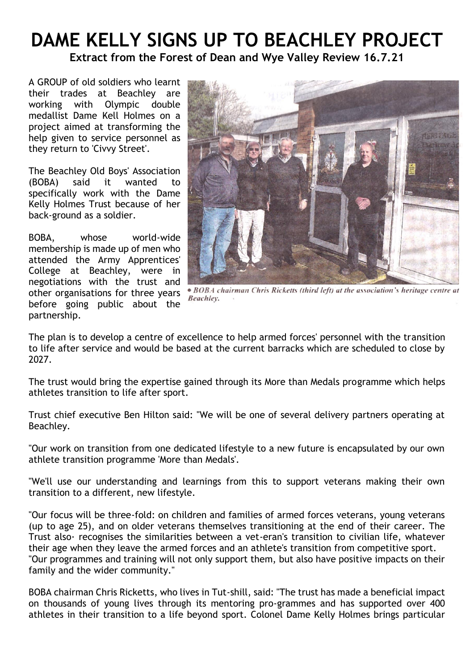## **DAME KELLY SIGNS UP TO BEACHLEY PROJECT**

**Extract from the Forest of Dean and Wye Valley Review 16.7.21**

A GROUP of old soldiers who learnt their trades at Beachley are working with Olympic double medallist Dame Kell Holmes on a project aimed at transforming the help given to service personnel as they return to 'Civvy Street'.

The Beachley Old Boys' Association (BOBA) said it wanted to specifically work with the Dame Kelly Holmes Trust because of her back-ground as a soldier.

BOBA, whose world-wide membership is made up of men who attended the Army Apprentices' College at Beachley, were in negotiations with the trust and other organisations for three years before going public about the partnership.



· BOBA chairman Chris Ricketts (third left) at the association's heritage centre at Beachley.

The plan is to develop a centre of excellence to help armed forces' personnel with the transition to life after service and would be based at the current barracks which are scheduled to close by 2027.

The trust would bring the expertise gained through its More than Medals programme which helps athletes transition to life after sport.

Trust chief executive Ben Hilton said: "We will be one of several delivery partners operating at Beachley.

"Our work on transition from one dedicated lifestyle to a new future is encapsulated by our own athlete transition programme 'More than Medals'.

"We'll use our understanding and learnings from this to support veterans making their own transition to a different, new lifestyle.

"Our focus will be three-fold: on children and families of armed forces veterans, young veterans (up to age 25), and on older veterans themselves transitioning at the end of their career. The Trust also· recognises the similarities between a vet-eran's transition to civilian life, whatever their age when they leave the armed forces and an athlete's transition from competitive sport. "Our programmes and training will not only support them, but also have positive impacts on their family and the wider community."

BOBA chairman Chris Ricketts, who lives in Tut-shill, said: "The trust has made a beneficial impact on thousands of young lives through its mentoring pro-grammes and has supported over 400 athletes in their transition to a life beyond sport. Colonel Dame Kelly Holmes brings particular